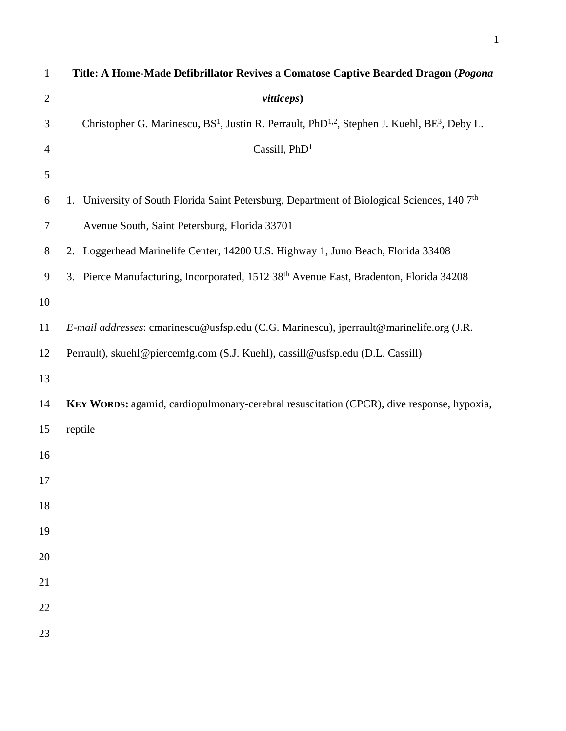| $\mathbf{1}$   | Title: A Home-Made Defibrillator Revives a Comatose Captive Bearded Dragon (Pogona                                               |
|----------------|----------------------------------------------------------------------------------------------------------------------------------|
| $\overline{2}$ | vitticeps)                                                                                                                       |
| 3              | Christopher G. Marinescu, BS <sup>1</sup> , Justin R. Perrault, PhD <sup>1,2</sup> , Stephen J. Kuehl, BE <sup>3</sup> , Deby L. |
| $\overline{4}$ | Cassill, PhD <sup>1</sup>                                                                                                        |
| 5              |                                                                                                                                  |
| 6              | 1. University of South Florida Saint Petersburg, Department of Biological Sciences, 140 7 <sup>th</sup>                          |
| 7              | Avenue South, Saint Petersburg, Florida 33701                                                                                    |
| 8              | 2. Loggerhead Marinelife Center, 14200 U.S. Highway 1, Juno Beach, Florida 33408                                                 |
| 9              | 3. Pierce Manufacturing, Incorporated, 1512 38 <sup>th</sup> Avenue East, Bradenton, Florida 34208                               |
| 10             |                                                                                                                                  |
| 11             | E-mail addresses: cmarinescu@usfsp.edu (C.G. Marinescu), jperrault@marinelife.org (J.R.                                          |
| 12             | Perrault), skuehl@piercemfg.com (S.J. Kuehl), cassill@usfsp.edu (D.L. Cassill)                                                   |
| 13             |                                                                                                                                  |
| 14             | KEY WORDS: agamid, cardiopulmonary-cerebral resuscitation (CPCR), dive response, hypoxia,                                        |
| 15             | reptile                                                                                                                          |
| 16             |                                                                                                                                  |
| 17             |                                                                                                                                  |
| 18             |                                                                                                                                  |
| 19             |                                                                                                                                  |
| 20             |                                                                                                                                  |
| 21             |                                                                                                                                  |
| 22             |                                                                                                                                  |
| 23             |                                                                                                                                  |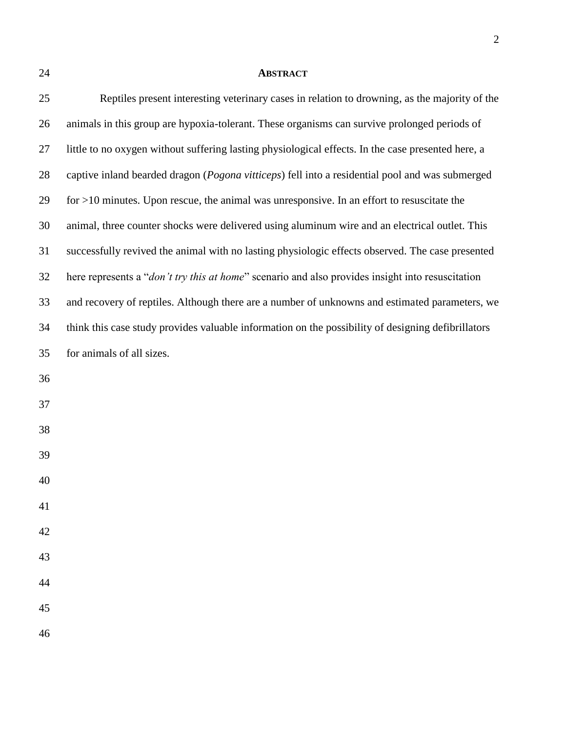## **ABSTRACT**

| 25     | Reptiles present interesting veterinary cases in relation to drowning, as the majority of the             |
|--------|-----------------------------------------------------------------------------------------------------------|
| 26     | animals in this group are hypoxia-tolerant. These organisms can survive prolonged periods of              |
| 27     | little to no oxygen without suffering lasting physiological effects. In the case presented here, a        |
| 28     | captive inland bearded dragon (Pogona vitticeps) fell into a residential pool and was submerged           |
| 29     | for $>10$ minutes. Upon rescue, the animal was unresponsive. In an effort to resuscitate the              |
| 30     | animal, three counter shocks were delivered using aluminum wire and an electrical outlet. This            |
| 31     | successfully revived the animal with no lasting physiologic effects observed. The case presented          |
| 32     | here represents a " <i>don't try this at home</i> " scenario and also provides insight into resuscitation |
| 33     | and recovery of reptiles. Although there are a number of unknowns and estimated parameters, we            |
| 34     | think this case study provides valuable information on the possibility of designing defibrillators        |
| 35     | for animals of all sizes.                                                                                 |
| 36     |                                                                                                           |
| 37     |                                                                                                           |
| 38     |                                                                                                           |
| 39     |                                                                                                           |
| 40     |                                                                                                           |
| $41\,$ |                                                                                                           |
| 42     |                                                                                                           |
| 43     |                                                                                                           |
| 44     |                                                                                                           |
| 45     |                                                                                                           |
| 46     |                                                                                                           |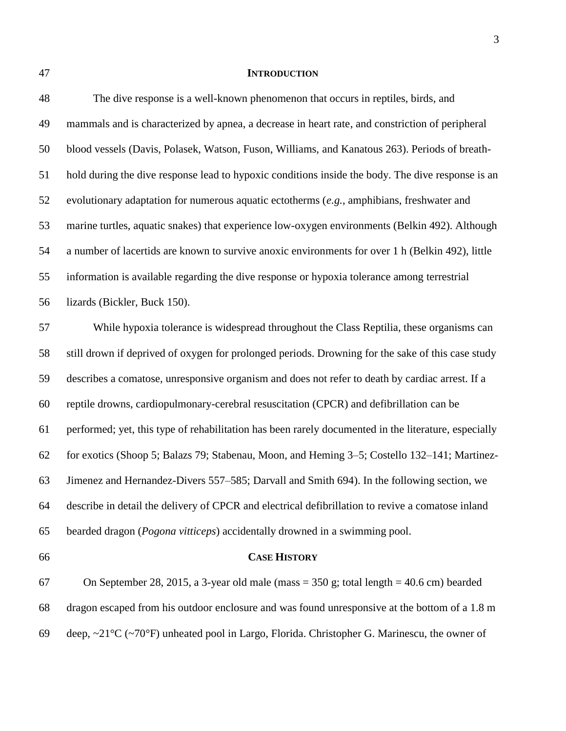## **INTRODUCTION**

| 48 | The dive response is a well-known phenomenon that occurs in reptiles, birds, and                     |
|----|------------------------------------------------------------------------------------------------------|
| 49 | mammals and is characterized by apnea, a decrease in heart rate, and constriction of peripheral      |
| 50 | blood vessels (Davis, Polasek, Watson, Fuson, Williams, and Kanatous 263). Periods of breath-        |
| 51 | hold during the dive response lead to hypoxic conditions inside the body. The dive response is an    |
| 52 | evolutionary adaptation for numerous aquatic ectotherms $(e.g.,$ amphibians, freshwater and          |
| 53 | marine turtles, aquatic snakes) that experience low-oxygen environments (Belkin 492). Although       |
| 54 | a number of lacertids are known to survive anoxic environments for over 1 h (Belkin 492), little     |
| 55 | information is available regarding the dive response or hypoxia tolerance among terrestrial          |
| 56 | lizards (Bickler, Buck 150).                                                                         |
| 57 | While hypoxia tolerance is widespread throughout the Class Reptilia, these organisms can             |
| 58 | still drown if deprived of oxygen for prolonged periods. Drowning for the sake of this case study    |
| 59 | describes a comatose, unresponsive organism and does not refer to death by cardiac arrest. If a      |
| 60 | reptile drowns, cardiopulmonary-cerebral resuscitation (CPCR) and defibrillation can be              |
| 61 | performed; yet, this type of rehabilitation has been rarely documented in the literature, especially |
| 62 | for exotics (Shoop 5; Balazs 79; Stabenau, Moon, and Heming 3–5; Costello 132–141; Martinez-         |
| 63 | Jimenez and Hernandez-Divers 557–585; Darvall and Smith 694). In the following section, we           |
| 64 | describe in detail the delivery of CPCR and electrical defibrillation to revive a comatose inland    |

bearded dragon (*Pogona vitticeps*) accidentally drowned in a swimming pool.

## **CASE HISTORY**

 On September 28, 2015, a 3-year old male (mass = 350 g; total length = 40.6 cm) bearded dragon escaped from his outdoor enclosure and was found unresponsive at the bottom of a 1.8 m 69 deep,  $\sim$ 21°C ( $\sim$ 70°F) unheated pool in Largo, Florida. Christopher G. Marinescu, the owner of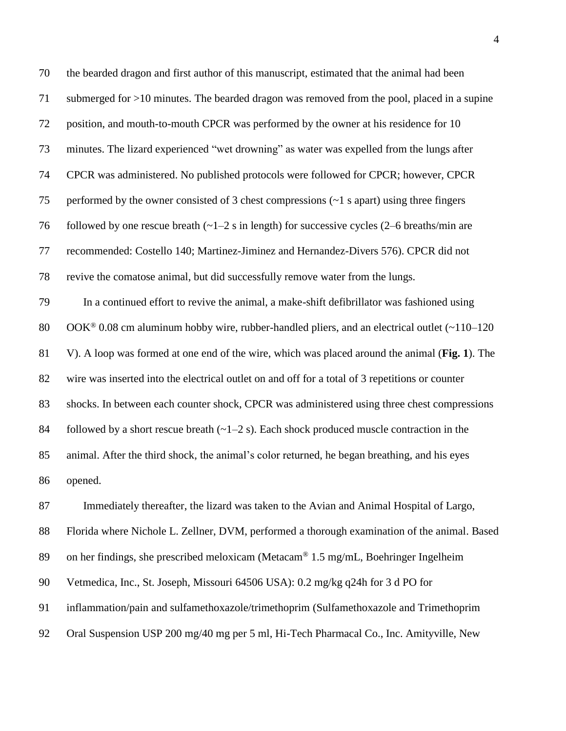| 70 | the bearded dragon and first author of this manuscript, estimated that the animal had been                 |
|----|------------------------------------------------------------------------------------------------------------|
| 71 | submerged for $>10$ minutes. The bearded dragon was removed from the pool, placed in a supine              |
| 72 | position, and mouth-to-mouth CPCR was performed by the owner at his residence for 10                       |
| 73 | minutes. The lizard experienced "wet drowning" as water was expelled from the lungs after                  |
| 74 | CPCR was administered. No published protocols were followed for CPCR; however, CPCR                        |
| 75 | performed by the owner consisted of 3 chest compressions $(-1 s$ apart) using three fingers                |
| 76 | followed by one rescue breath $(-1-2 s)$ in length) for successive cycles $(2-6$ breaths/min are           |
| 77 | recommended: Costello 140; Martinez-Jiminez and Hernandez-Divers 576). CPCR did not                        |
| 78 | revive the comatose animal, but did successfully remove water from the lungs.                              |
| 79 | In a continued effort to revive the animal, a make-shift defibrillator was fashioned using                 |
| 80 | $OOK^{\circledast}$ 0.08 cm aluminum hobby wire, rubber-handled pliers, and an electrical outlet (~110–120 |
| 81 | V). A loop was formed at one end of the wire, which was placed around the animal (Fig. 1). The             |
| 82 | wire was inserted into the electrical outlet on and off for a total of 3 repetitions or counter            |
| 83 | shocks. In between each counter shock, CPCR was administered using three chest compressions                |
| 84 | followed by a short rescue breath $(-1-2 s)$ . Each shock produced muscle contraction in the               |
| 85 | animal. After the third shock, the animal's color returned, he began breathing, and his eyes               |
| 86 | opened.                                                                                                    |
| 87 | Immediately thereafter, the lizard was taken to the Avian and Animal Hospital of Largo,                    |
| 88 | Florida where Nichole L. Zellner, DVM, performed a thorough examination of the animal. Based               |
| 89 | on her findings, she prescribed meloxicam (Metacam® 1.5 mg/mL, Boehringer Ingelheim                        |
| 90 | Vetmedica, Inc., St. Joseph, Missouri 64506 USA): 0.2 mg/kg q24h for 3 d PO for                            |
| 91 | inflammation/pain and sulfamethoxazole/trimethoprim (Sulfamethoxazole and Trimethoprim                     |
|    |                                                                                                            |

Oral Suspension USP 200 mg/40 mg per 5 ml, Hi-Tech Pharmacal Co., Inc. Amityville, New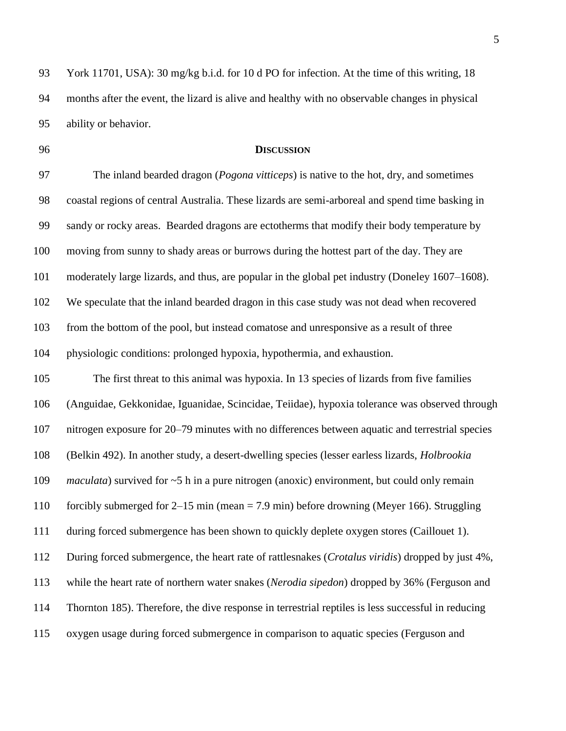York 11701, USA): 30 mg/kg b.i.d. for 10 d PO for infection. At the time of this writing, 18 months after the event, the lizard is alive and healthy with no observable changes in physical ability or behavior.

## **DISCUSSION**

 The inland bearded dragon (*Pogona vitticeps*) is native to the hot, dry, and sometimes coastal regions of central Australia. These lizards are semi-arboreal and spend time basking in sandy or rocky areas. Bearded dragons are ectotherms that modify their body temperature by moving from sunny to shady areas or burrows during the hottest part of the day. They are moderately large lizards, and thus, are popular in the global pet industry (Doneley 1607–1608). We speculate that the inland bearded dragon in this case study was not dead when recovered from the bottom of the pool, but instead comatose and unresponsive as a result of three physiologic conditions: prolonged hypoxia, hypothermia, and exhaustion.

 The first threat to this animal was hypoxia. In 13 species of lizards from five families (Anguidae, Gekkonidae, Iguanidae, Scincidae, Teiidae), hypoxia tolerance was observed through nitrogen exposure for 20–79 minutes with no differences between aquatic and terrestrial species (Belkin 492). In another study, a desert-dwelling species (lesser earless lizards, *Holbrookia maculata*) survived for ~5 h in a pure nitrogen (anoxic) environment, but could only remain forcibly submerged for 2–15 min (mean = 7.9 min) before drowning (Meyer 166). Struggling during forced submergence has been shown to quickly deplete oxygen stores (Caillouet 1). During forced submergence, the heart rate of rattlesnakes (*Crotalus viridis*) dropped by just 4%, while the heart rate of northern water snakes (*Nerodia sipedon*) dropped by 36% (Ferguson and Thornton 185). Therefore, the dive response in terrestrial reptiles is less successful in reducing oxygen usage during forced submergence in comparison to aquatic species (Ferguson and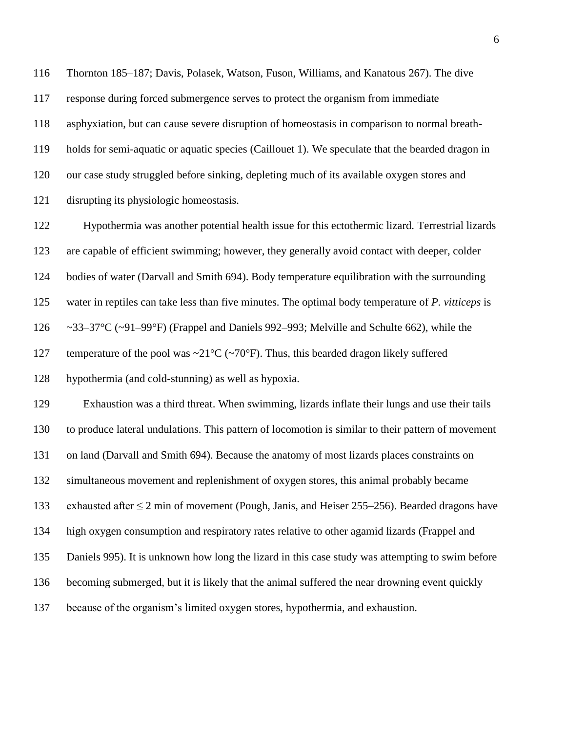Thornton 185–187; Davis, Polasek, Watson, Fuson, Williams, and Kanatous 267). The dive response during forced submergence serves to protect the organism from immediate asphyxiation, but can cause severe disruption of homeostasis in comparison to normal breath- holds for semi-aquatic or aquatic species (Caillouet 1). We speculate that the bearded dragon in our case study struggled before sinking, depleting much of its available oxygen stores and disrupting its physiologic homeostasis.

 Hypothermia was another potential health issue for this ectothermic lizard. Terrestrial lizards are capable of efficient swimming; however, they generally avoid contact with deeper, colder bodies of water (Darvall and Smith 694). Body temperature equilibration with the surrounding water in reptiles can take less than five minutes. The optimal body temperature of *P. vitticeps* is ~33–37°C (~91–99°F) (Frappel and Daniels 992–993; Melville and Schulte 662), while the 127 temperature of the pool was  $\sim$ 21°C ( $\sim$ 70°F). Thus, this bearded dragon likely suffered hypothermia (and cold-stunning) as well as hypoxia. Exhaustion was a third threat. When swimming, lizards inflate their lungs and use their tails

 to produce lateral undulations. This pattern of locomotion is similar to their pattern of movement on land (Darvall and Smith 694). Because the anatomy of most lizards places constraints on simultaneous movement and replenishment of oxygen stores, this animal probably became exhausted after ≤ 2 min of movement (Pough, Janis, and Heiser 255–256). Bearded dragons have high oxygen consumption and respiratory rates relative to other agamid lizards (Frappel and Daniels 995). It is unknown how long the lizard in this case study was attempting to swim before becoming submerged, but it is likely that the animal suffered the near drowning event quickly because of the organism's limited oxygen stores, hypothermia, and exhaustion.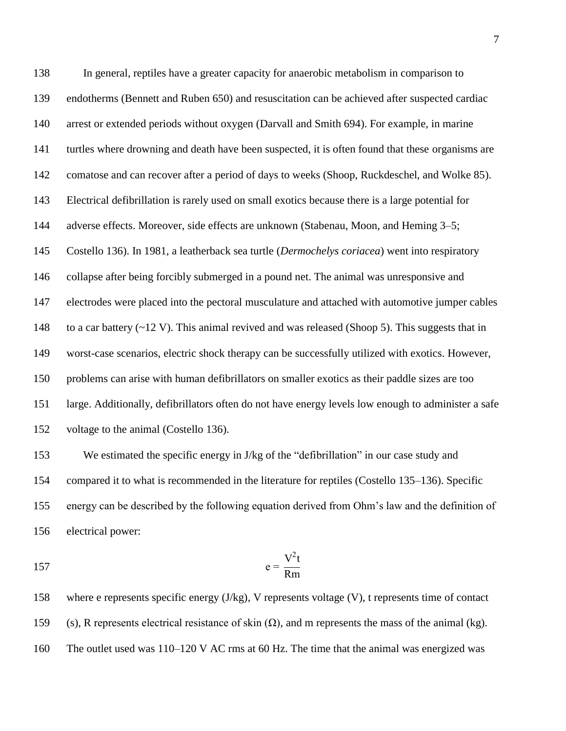In general, reptiles have a greater capacity for anaerobic metabolism in comparison to endotherms (Bennett and Ruben 650) and resuscitation can be achieved after suspected cardiac arrest or extended periods without oxygen (Darvall and Smith 694). For example, in marine turtles where drowning and death have been suspected, it is often found that these organisms are comatose and can recover after a period of days to weeks (Shoop, Ruckdeschel, and Wolke 85). Electrical defibrillation is rarely used on small exotics because there is a large potential for adverse effects. Moreover, side effects are unknown (Stabenau, Moon, and Heming 3–5; Costello 136). In 1981, a leatherback sea turtle (*Dermochelys coriacea*) went into respiratory collapse after being forcibly submerged in a pound net. The animal was unresponsive and electrodes were placed into the pectoral musculature and attached with automotive jumper cables 148 to a car battery  $(\sim 12 \text{ V})$ . This animal revived and was released (Shoop 5). This suggests that in worst-case scenarios, electric shock therapy can be successfully utilized with exotics. However, problems can arise with human defibrillators on smaller exotics as their paddle sizes are too large. Additionally, defibrillators often do not have energy levels low enough to administer a safe voltage to the animal (Costello 136).

 We estimated the specific energy in J/kg of the "defibrillation" in our case study and compared it to what is recommended in the literature for reptiles (Costello 135–136). Specific energy can be described by the following equation derived from Ohm's law and the definition of electrical power:

$$
157 \t\t e = \frac{V^2 t}{Rm}
$$

 where e represents specific energy (J/kg), V represents voltage (V), t represents time of contact 159 (s), R represents electrical resistance of skin  $(\Omega)$ , and m represents the mass of the animal (kg). The outlet used was 110–120 V AC rms at 60 Hz. The time that the animal was energized was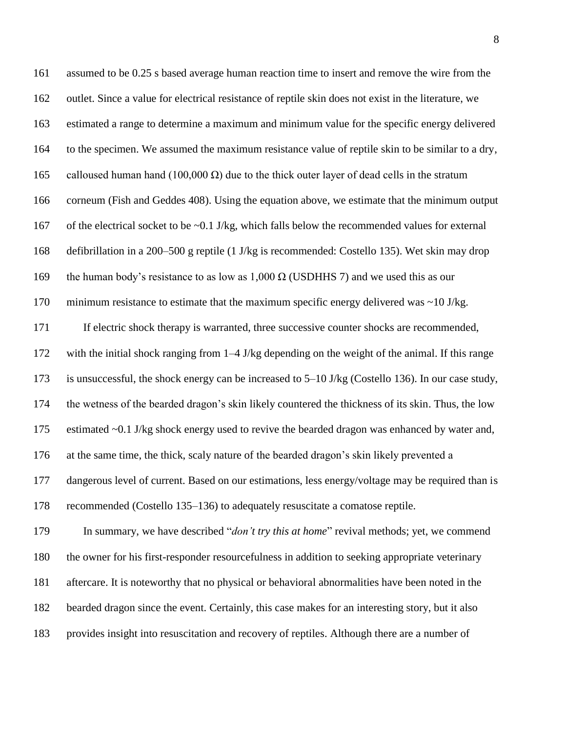| 161 | assumed to be 0.25 s based average human reaction time to insert and remove the wire from the         |
|-----|-------------------------------------------------------------------------------------------------------|
| 162 | outlet. Since a value for electrical resistance of reptile skin does not exist in the literature, we  |
| 163 | estimated a range to determine a maximum and minimum value for the specific energy delivered          |
| 164 | to the specimen. We assumed the maximum resistance value of reptile skin to be similar to a dry,      |
| 165 | calloused human hand (100,000 $\Omega$ ) due to the thick outer layer of dead cells in the stratum    |
| 166 | corneum (Fish and Geddes 408). Using the equation above, we estimate that the minimum output          |
| 167 | of the electrical socket to be $\sim 0.1$ J/kg, which falls below the recommended values for external |
| 168 | defibrillation in a 200–500 g reptile (1 J/kg is recommended: Costello 135). Wet skin may drop        |
| 169 | the human body's resistance to as low as $1,000 \Omega$ (USDHHS 7) and we used this as our            |
| 170 | minimum resistance to estimate that the maximum specific energy delivered was $\sim$ 10 J/kg.         |
| 171 | If electric shock therapy is warranted, three successive counter shocks are recommended,              |
| 172 | with the initial shock ranging from $1-4$ J/kg depending on the weight of the animal. If this range   |
| 173 | is unsuccessful, the shock energy can be increased to 5–10 J/kg (Costello 136). In our case study,    |
| 174 | the wetness of the bearded dragon's skin likely countered the thickness of its skin. Thus, the low    |
| 175 | estimated ~0.1 J/kg shock energy used to revive the bearded dragon was enhanced by water and,         |
| 176 | at the same time, the thick, scaly nature of the bearded dragon's skin likely prevented a             |
| 177 | dangerous level of current. Based on our estimations, less energy/voltage may be required than is     |
| 178 | recommended (Costello 135–136) to adequately resuscitate a comatose reptile.                          |
| 179 | In summary, we have described " <i>don't try this at home</i> " revival methods; yet, we commend      |
| 180 | the owner for his first-responder resourcefulness in addition to seeking appropriate veterinary       |
| 181 | aftercare. It is noteworthy that no physical or behavioral abnormalities have been noted in the       |
| 182 | bearded dragon since the event. Certainly, this case makes for an interesting story, but it also      |
| 183 | provides insight into resuscitation and recovery of reptiles. Although there are a number of          |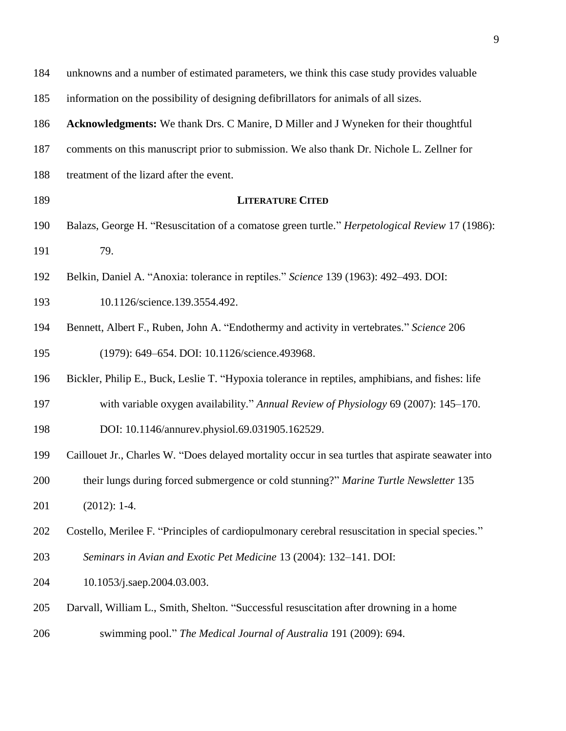| 184 | unknowns and a number of estimated parameters, we think this case study provides valuable          |
|-----|----------------------------------------------------------------------------------------------------|
| 185 | information on the possibility of designing defibrillators for animals of all sizes.               |
| 186 | Acknowledgments: We thank Drs. C Manire, D Miller and J Wyneken for their thoughtful               |
| 187 | comments on this manuscript prior to submission. We also thank Dr. Nichole L. Zellner for          |
| 188 | treatment of the lizard after the event.                                                           |
| 189 | <b>LITERATURE CITED</b>                                                                            |
| 190 | Balazs, George H. "Resuscitation of a comatose green turtle." Herpetological Review 17 (1986):     |
| 191 | 79.                                                                                                |
| 192 | Belkin, Daniel A. "Anoxia: tolerance in reptiles." Science 139 (1963): 492-493. DOI:               |
| 193 | 10.1126/science.139.3554.492.                                                                      |
| 194 | Bennett, Albert F., Ruben, John A. "Endothermy and activity in vertebrates." Science 206           |
| 195 | (1979): 649-654. DOI: 10.1126/science.493968.                                                      |
| 196 | Bickler, Philip E., Buck, Leslie T. "Hypoxia tolerance in reptiles, amphibians, and fishes: life   |
| 197 | with variable oxygen availability." Annual Review of Physiology 69 (2007): 145–170.                |
| 198 | DOI: 10.1146/annurev.physiol.69.031905.162529.                                                     |
| 199 | Caillouet Jr., Charles W. "Does delayed mortality occur in sea turtles that aspirate seawater into |
| 200 | their lungs during forced submergence or cold stunning?" Marine Turtle Newsletter 135              |
| 201 | $(2012): 1-4.$                                                                                     |
| 202 | Costello, Merilee F. "Principles of cardiopulmonary cerebral resuscitation in special species."    |
| 203 | Seminars in Avian and Exotic Pet Medicine 13 (2004): 132-141. DOI:                                 |
| 204 | 10.1053/j.saep.2004.03.003.                                                                        |
| 205 | Darvall, William L., Smith, Shelton. "Successful resuscitation after drowning in a home            |
| 206 | swimming pool." The Medical Journal of Australia 191 (2009): 694.                                  |
|     |                                                                                                    |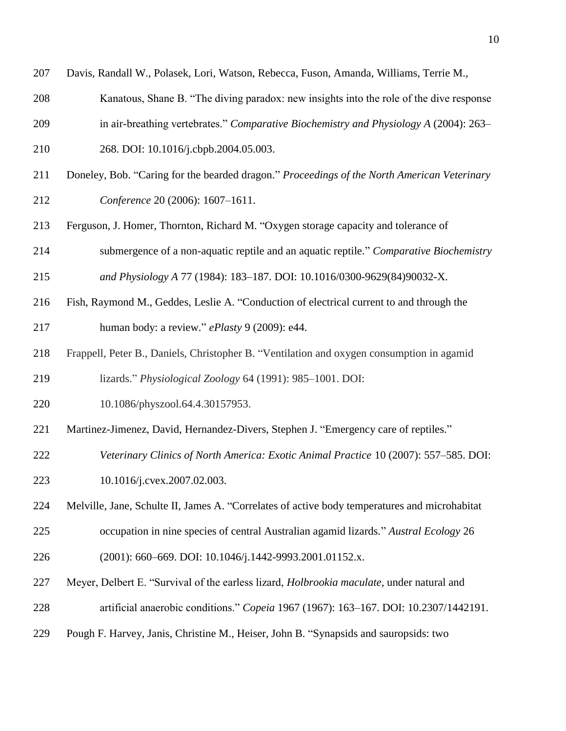- Davis, Randall W., Polasek, Lori, Watson, Rebecca, Fuson, Amanda, Williams, Terrie M.,
- Kanatous, Shane B. "The diving paradox: new insights into the role of the dive response
- in air-breathing vertebrates." *Comparative Biochemistry and Physiology A* (2004): 263–
- 268. DOI: 10.1016/j.cbpb.2004.05.003.
- Doneley, Bob. "Caring for the bearded dragon." *Proceedings of the North American Veterinary Conference* 20 (2006): 1607–1611.
- Ferguson, J. Homer, Thornton, Richard M. "Oxygen storage capacity and tolerance of
- submergence of a non-aquatic reptile and an aquatic reptile." *Comparative Biochemistry*

*and Physiology A* 77 (1984): 183–187. DOI: 10.1016/0300-9629(84)90032-X.

- Fish, Raymond M., Geddes, Leslie A. "Conduction of electrical current to and through the human body: a review." *ePlasty* 9 (2009): e44.
- Frappell, Peter B., Daniels, Christopher B. "Ventilation and oxygen consumption in agamid lizards." *Physiological Zoology* 64 (1991): 985–1001. DOI:
- 10.1086/physzool.64.4.30157953.
- Martinez-Jimenez, David, Hernandez-Divers, Stephen J. "Emergency care of reptiles."
- *Veterinary Clinics of North America: Exotic Animal Practice* 10 (2007): 557–585. DOI: 10.1016/j.cvex.2007.02.003.
- Melville, Jane, Schulte II, James A. "Correlates of active body temperatures and microhabitat occupation in nine species of central Australian agamid lizards." *Austral Ecology* 26 (2001): 660–669. DOI: 10.1046/j.1442-9993.2001.01152.x.
- 
- Meyer, Delbert E. "Survival of the earless lizard, *Holbrookia maculate*, under natural and
- artificial anaerobic conditions." *Copeia* 1967 (1967): 163–167. DOI: 10.2307/1442191.
- Pough F. Harvey, Janis, Christine M., Heiser, John B. "Synapsids and sauropsids: two